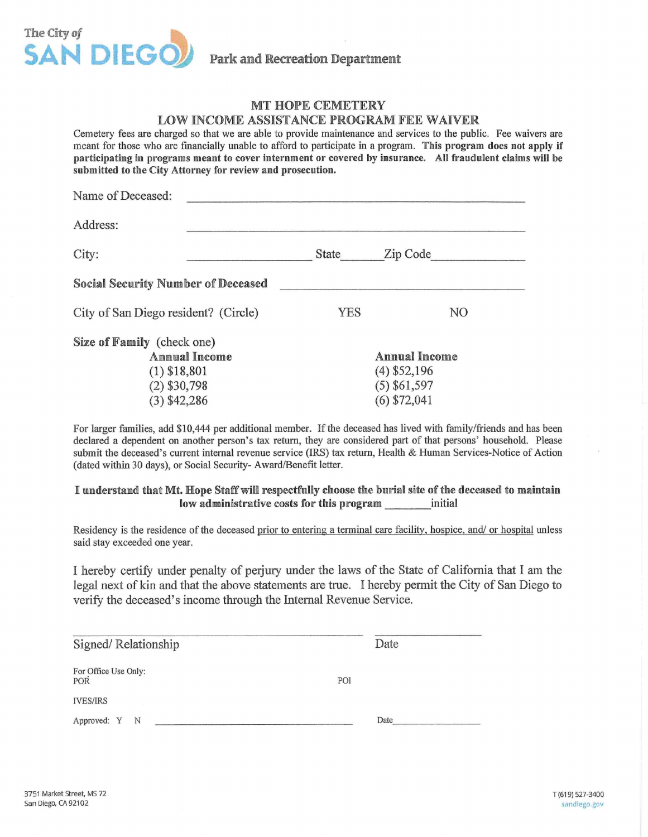

**Park and Recreation Department** 

## MT HOPE CEMETERY

### LOW INCOME ASSISTANCE PROGRAM FEE WAIVER

Cemetery fees are charged so that we are able to provide maintenance and services to the public. Fee waivers are meant for those who are financially unable to afford to participate in a program. This program does not apply if participating in programs meant to cover internment or covered by insurance. All fraudulent claims will be submitted to the City Attorney for review and prosecution.

| Name of Deceased:                                                                                        |       |                                                                     |
|----------------------------------------------------------------------------------------------------------|-------|---------------------------------------------------------------------|
| Address:                                                                                                 |       |                                                                     |
| City:                                                                                                    | State | Zip Code                                                            |
| <b>Social Security Number of Deceased</b>                                                                |       |                                                                     |
| City of San Diego resident? (Circle)                                                                     | YES   | N <sub>O</sub>                                                      |
| Size of Family (check one)<br><b>Annual Income</b><br>$(1)$ \$18,801<br>$(2)$ \$30,798<br>$(3)$ \$42,286 |       | Annual Income<br>$(4)$ \$52,196<br>$(5)$ \$61,597<br>$(6)$ \$72,041 |

For larger families, add \$10,444 per additional member. If the deceased has lived with family/friends and has been declared a dependent on another person's tax return, they are considered part of that persons' household. Please submit the deceased's current internal revenue service (IRS) tax return. Health & Human Services-Notice of Action (dated within 30 days), or Social Security-Award/Benefit letter.

#### I understand that Mt. Hope Staff will respectfully choose the burial site of the deceased to maintain low administrative costs for this program initial

Residency is the residence of the deceased prior to entering a terminal care facility, hospice, and/ or hospital unless said stay exceeded one year.

I hereby certify under penalty of perjury under the laws of the State of California that I am the legal next of kin and that the above statements are true. I hereby permit the City of San Diego to verify the deceased's income through the Internal Revenue Service.

| Signed/Relationship         | Date |  |
|-----------------------------|------|--|
| For Office Use Only:<br>POR | POI  |  |
| <b>IVES/IRS</b>             |      |  |
| Approved: Y N               | Date |  |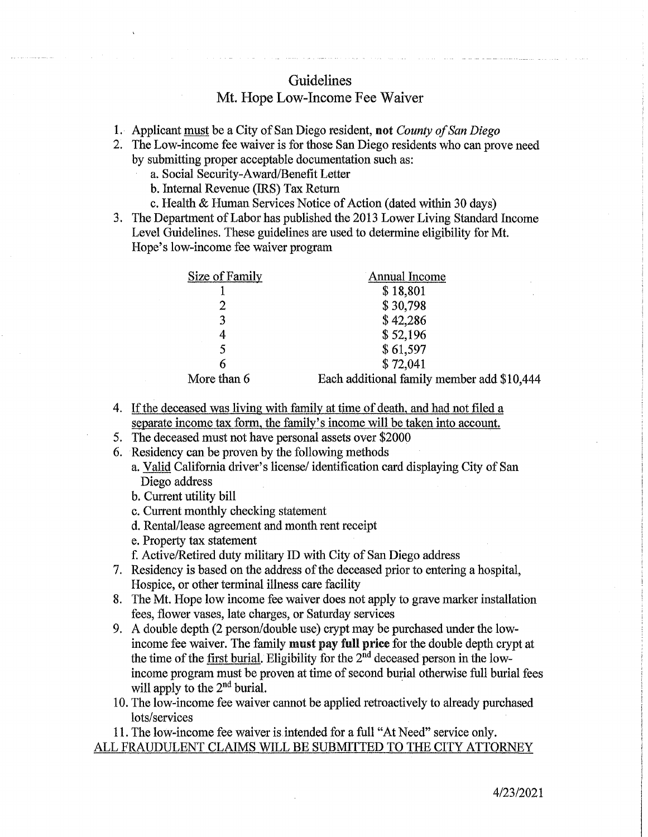# Guidelines

## Mt. Hope Low-Income Fee Waiver

- 1. Applicant must be a City of San Diego resident, not *County of San Diego*
- 2. The Low-income fee waiver is for those San Diego residents who can prove need by submitting proper acceptable documentation such as:
	- a. Social Security-Award/Benefit Letter
	- b. Internal Revenue (IRS) Tax Return
	- c. Health & Human Services Notice of Action (dated within 30 days)
- 3. The Department of Labor has published the 2013 Lower Living Standard Income Level Guidelines. These guidelines are used to determine eligibility for Mt. Hope's low-income fee waiver program

| Size of Family | <b>Annual Income</b>                       |
|----------------|--------------------------------------------|
|                | \$18,801                                   |
|                | \$30,798                                   |
| 3              | \$42,286                                   |
| 4              | \$52,196                                   |
|                | \$61,597                                   |
|                | \$72,041                                   |
| More than 6    | Each additional family member add \$10,444 |

- 4. If the deceased was living with family at time of death, and had not filed a separate income tax form, the family's income will be taken into account.
- 5. The deceased must not have personal assets over \$2000
- 6. Residency can be proven by the following methods
	- a. Valid California driver's license/ identification card displaying City of San Diego address
	- b. Current utility bill
	- c. Current monthly checking statement
	- d. Rental/lease agreement and month rent receipt
	- e. Property tax statement
	- f. Active/Retired duty military ID with City of San Diego address
- 7. Residency is based on the address of the deceased prior to entering a hospital, Hospice, or other terminal illness care facility
- 8. The Mt. Hope low income fee waiver does not apply to grave marker installation fees, flower vases, late charges, or Saturday services
- 9. A double depth (2 person/ double use) crypt may be purchased under the lowincome fee waiver. The family must pay full price for the double depth crypt at the time of the first burial. Eligibility for the  $2<sup>nd</sup>$  deceased person in the lowincome program must be proven at time of second burial otherwise full burial fees will apply to the  $2<sup>nd</sup>$  burial.
- 10. The low-income fee waiver cannot be applied retroactively to already purchased lots/services

11. The low-income fee waiver is.intended for a full "At Need" service only.

## ALL FRAUDULENT CLAIMS WILL BE SUBMITTED TO THE CITY ATTORNEY